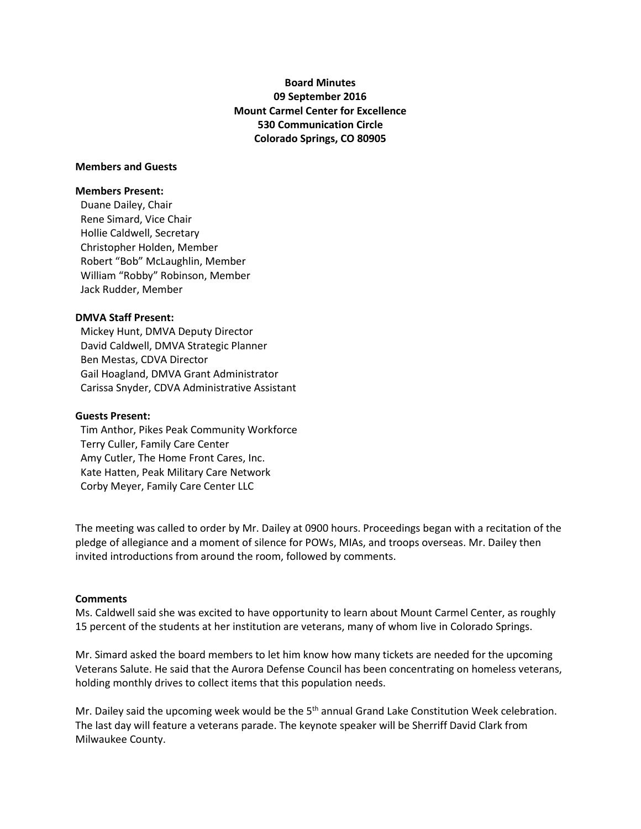# **Board Minutes 09 September 2016 Mount Carmel Center for Excellence 530 Communication Circle Colorado Springs, CO 80905**

# **Members and Guests**

#### **Members Present:**

Duane Dailey, Chair Rene Simard, Vice Chair Hollie Caldwell, Secretary Christopher Holden, Member Robert "Bob" McLaughlin, Member William "Robby" Robinson, Member Jack Rudder, Member

#### **DMVA Staff Present:**

 Mickey Hunt, DMVA Deputy Director David Caldwell, DMVA Strategic Planner Ben Mestas, CDVA Director Gail Hoagland, DMVA Grant Administrator Carissa Snyder, CDVA Administrative Assistant

#### **Guests Present:**

 Tim Anthor, Pikes Peak Community Workforce Terry Culler, Family Care Center Amy Cutler, The Home Front Cares, Inc. Kate Hatten, Peak Military Care Network Corby Meyer, Family Care Center LLC

The meeting was called to order by Mr. Dailey at 0900 hours. Proceedings began with a recitation of the pledge of allegiance and a moment of silence for POWs, MIAs, and troops overseas. Mr. Dailey then invited introductions from around the room, followed by comments.

#### **Comments**

Ms. Caldwell said she was excited to have opportunity to learn about Mount Carmel Center, as roughly 15 percent of the students at her institution are veterans, many of whom live in Colorado Springs.

Mr. Simard asked the board members to let him know how many tickets are needed for the upcoming Veterans Salute. He said that the Aurora Defense Council has been concentrating on homeless veterans, holding monthly drives to collect items that this population needs.

Mr. Dailey said the upcoming week would be the 5<sup>th</sup> annual Grand Lake Constitution Week celebration. The last day will feature a veterans parade. The keynote speaker will be Sherriff David Clark from Milwaukee County.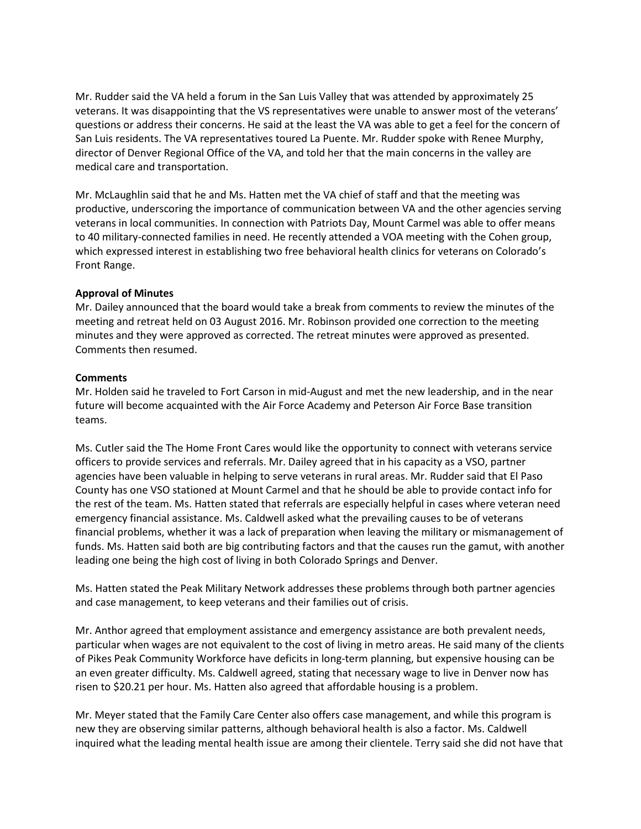Mr. Rudder said the VA held a forum in the San Luis Valley that was attended by approximately 25 veterans. It was disappointing that the VS representatives were unable to answer most of the veterans' questions or address their concerns. He said at the least the VA was able to get a feel for the concern of San Luis residents. The VA representatives toured La Puente. Mr. Rudder spoke with Renee Murphy, director of Denver Regional Office of the VA, and told her that the main concerns in the valley are medical care and transportation.

Mr. McLaughlin said that he and Ms. Hatten met the VA chief of staff and that the meeting was productive, underscoring the importance of communication between VA and the other agencies serving veterans in local communities. In connection with Patriots Day, Mount Carmel was able to offer means to 40 military-connected families in need. He recently attended a VOA meeting with the Cohen group, which expressed interest in establishing two free behavioral health clinics for veterans on Colorado's Front Range.

# **Approval of Minutes**

Mr. Dailey announced that the board would take a break from comments to review the minutes of the meeting and retreat held on 03 August 2016. Mr. Robinson provided one correction to the meeting minutes and they were approved as corrected. The retreat minutes were approved as presented. Comments then resumed.

# **Comments**

Mr. Holden said he traveled to Fort Carson in mid-August and met the new leadership, and in the near future will become acquainted with the Air Force Academy and Peterson Air Force Base transition teams.

Ms. Cutler said the The Home Front Cares would like the opportunity to connect with veterans service officers to provide services and referrals. Mr. Dailey agreed that in his capacity as a VSO, partner agencies have been valuable in helping to serve veterans in rural areas. Mr. Rudder said that El Paso County has one VSO stationed at Mount Carmel and that he should be able to provide contact info for the rest of the team. Ms. Hatten stated that referrals are especially helpful in cases where veteran need emergency financial assistance. Ms. Caldwell asked what the prevailing causes to be of veterans financial problems, whether it was a lack of preparation when leaving the military or mismanagement of funds. Ms. Hatten said both are big contributing factors and that the causes run the gamut, with another leading one being the high cost of living in both Colorado Springs and Denver.

Ms. Hatten stated the Peak Military Network addresses these problems through both partner agencies and case management, to keep veterans and their families out of crisis.

Mr. Anthor agreed that employment assistance and emergency assistance are both prevalent needs, particular when wages are not equivalent to the cost of living in metro areas. He said many of the clients of Pikes Peak Community Workforce have deficits in long-term planning, but expensive housing can be an even greater difficulty. Ms. Caldwell agreed, stating that necessary wage to live in Denver now has risen to \$20.21 per hour. Ms. Hatten also agreed that affordable housing is a problem.

Mr. Meyer stated that the Family Care Center also offers case management, and while this program is new they are observing similar patterns, although behavioral health is also a factor. Ms. Caldwell inquired what the leading mental health issue are among their clientele. Terry said she did not have that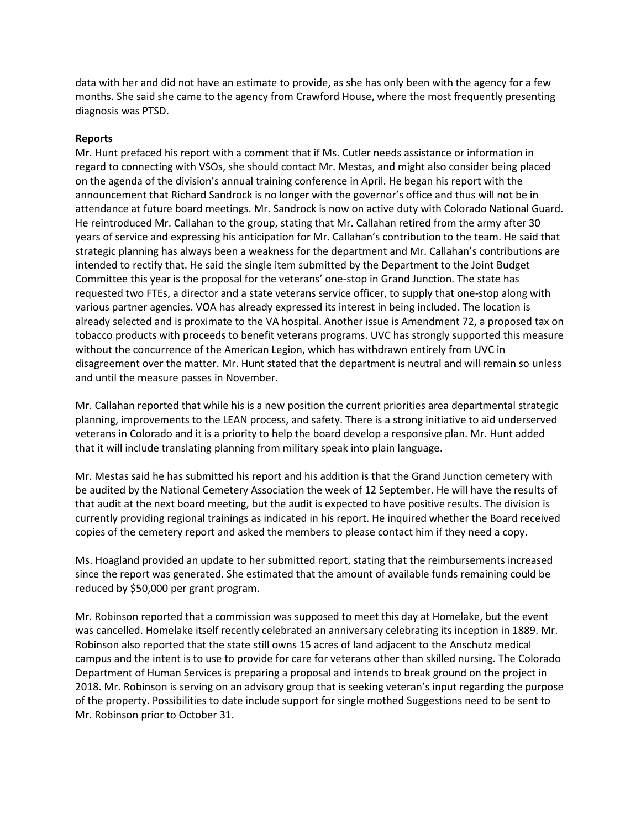data with her and did not have an estimate to provide, as she has only been with the agency for a few months. She said she came to the agency from Crawford House, where the most frequently presenting diagnosis was PTSD.

#### **Reports**

Mr. Hunt prefaced his report with a comment that if Ms. Cutler needs assistance or information in regard to connecting with VSOs, she should contact Mr. Mestas, and might also consider being placed on the agenda of the division's annual training conference in April. He began his report with the announcement that Richard Sandrock is no longer with the governor's office and thus will not be in attendance at future board meetings. Mr. Sandrock is now on active duty with Colorado National Guard. He reintroduced Mr. Callahan to the group, stating that Mr. Callahan retired from the army after 30 years of service and expressing his anticipation for Mr. Callahan's contribution to the team. He said that strategic planning has always been a weakness for the department and Mr. Callahan's contributions are intended to rectify that. He said the single item submitted by the Department to the Joint Budget Committee this year is the proposal for the veterans' one-stop in Grand Junction. The state has requested two FTEs, a director and a state veterans service officer, to supply that one-stop along with various partner agencies. VOA has already expressed its interest in being included. The location is already selected and is proximate to the VA hospital. Another issue is Amendment 72, a proposed tax on tobacco products with proceeds to benefit veterans programs. UVC has strongly supported this measure without the concurrence of the American Legion, which has withdrawn entirely from UVC in disagreement over the matter. Mr. Hunt stated that the department is neutral and will remain so unless and until the measure passes in November.

Mr. Callahan reported that while his is a new position the current priorities area departmental strategic planning, improvements to the LEAN process, and safety. There is a strong initiative to aid underserved veterans in Colorado and it is a priority to help the board develop a responsive plan. Mr. Hunt added that it will include translating planning from military speak into plain language.

Mr. Mestas said he has submitted his report and his addition is that the Grand Junction cemetery with be audited by the National Cemetery Association the week of 12 September. He will have the results of that audit at the next board meeting, but the audit is expected to have positive results. The division is currently providing regional trainings as indicated in his report. He inquired whether the Board received copies of the cemetery report and asked the members to please contact him if they need a copy.

Ms. Hoagland provided an update to her submitted report, stating that the reimbursements increased since the report was generated. She estimated that the amount of available funds remaining could be reduced by \$50,000 per grant program.

Mr. Robinson reported that a commission was supposed to meet this day at Homelake, but the event was cancelled. Homelake itself recently celebrated an anniversary celebrating its inception in 1889. Mr. Robinson also reported that the state still owns 15 acres of land adjacent to the Anschutz medical campus and the intent is to use to provide for care for veterans other than skilled nursing. The Colorado Department of Human Services is preparing a proposal and intends to break ground on the project in 2018. Mr. Robinson is serving on an advisory group that is seeking veteran's input regarding the purpose of the property. Possibilities to date include support for single mothed Suggestions need to be sent to Mr. Robinson prior to October 31.